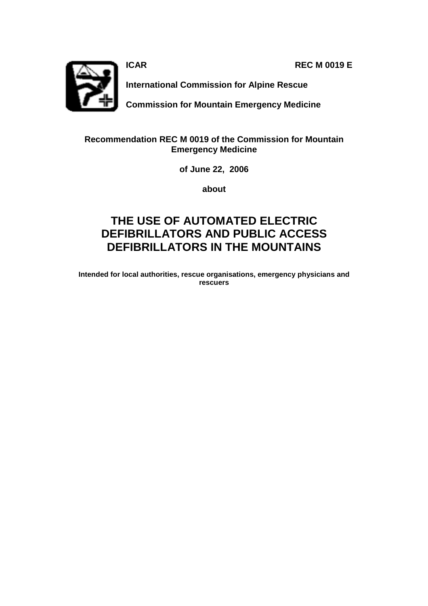**ICAR** REC M 0019 E



**International Commission for Alpine Rescue** 

**Commission for Mountain Emergency Medicine** 

## **Recommendation REC M 0019 of the Commission for Mountain Emergency Medicine**

**of June 22, 2006** 

**about** 

# **THE USE OF AUTOMATED ELECTRIC DEFIBRILLATORS AND PUBLIC ACCESS DEFIBRILLATORS IN THE MOUNTAINS**

**Intended for local authorities, rescue organisations, emergency physicians and rescuers**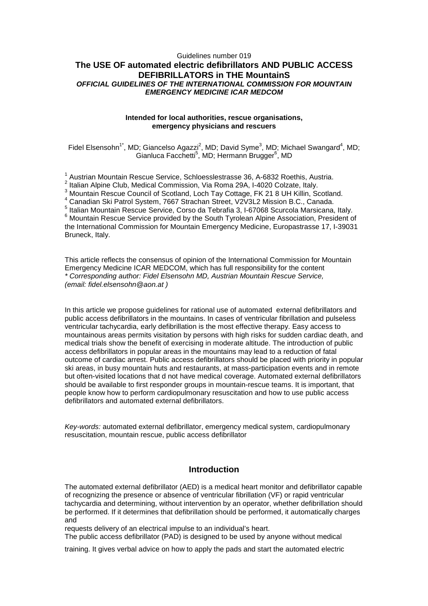## Guidelines number 019 **The USE OF automated electric defibrillators AND PUBLIC ACCESS DEFIBRILLATORS in THE MountainS**  *OFFICIAL GUIDELINES OF THE INTERNATIONAL COMMISSION FOR MOUNTAIN EMERGENCY MEDICINE ICAR MEDCOM*

#### **Intended for local authorities, rescue organisations, emergency physicians and rescuers**

Fidel Elsensohn<sup>1\*</sup>, MD; Giancelso Agazzi<sup>2</sup>, MD; David Syme<sup>3</sup>, MD; Michael Swangard<sup>4</sup>, MD; Gianluca Facchetti<sup>5</sup>, MD; Hermann Brugger<sup>6</sup>, MD

<sup>1</sup> Austrian Mountain Rescue Service, Schloesslestrasse 36, A-6832 Roethis, Austria.

 $^2$  Italian Alpine Club, Medical Commission, Via Roma 29A, I-4020 Colzate, Italy.

<sup>3</sup> Mountain Rescue Council of Scotland, Loch Tay Cottage, FK 21 8 UH Killin, Scotland.

4 Canadian Ski Patrol System, 7667 Strachan Street, V2V3L2 Mission B.C., Canada.

5 Italian Mountain Rescue Service, Corso da Tebrafia 3, I-67068 Scurcola Marsicana, Italy.

<sup>6</sup> Mountain Rescue Service provided by the South Tyrolean Alpine Association, President of the International Commission for Mountain Emergency Medicine, Europastrasse 17, I-39031 Bruneck, Italy.

This article reflects the consensus of opinion of the International Commission for Mountain Emergency Medicine ICAR MEDCOM, which has full responsibility for the content *\* Corresponding author: Fidel Elsensohn MD, Austrian Mountain Rescue Service, (email: fidel.elsensohn@aon.at )*

In this article we propose guidelines for rational use of automated external defibrillators and public access defibrillators in the mountains. In cases of ventricular fibrillation and pulseless ventricular tachycardia, early defibrillation is the most effective therapy. Easy access to mountainous areas permits visitation by persons with high risks for sudden cardiac death, and medical trials show the benefit of exercising in moderate altitude. The introduction of public access defibrillators in popular areas in the mountains may lead to a reduction of fatal outcome of cardiac arrest. Public access defibrillators should be placed with priority in popular ski areas, in busy mountain huts and restaurants, at mass-participation events and in remote but often-visited locations that d not have medical coverage. Automated external defibrillators should be available to first responder groups in mountain-rescue teams. It is important, that people know how to perform cardiopulmonary resuscitation and how to use public access defibrillators and automated external defibrillators.

*Key-words:* automated external defibrillator, emergency medical system, cardiopulmonary resuscitation, mountain rescue, public access defibrillator

## **Introduction**

The automated external defibrillator (AED) is a medical heart monitor and defibrillator capable of recognizing the presence or absence of ventricular fibrillation (VF) or rapid ventricular tachycardia and determining, without intervention by an operator, whether defibrillation should be performed. If it determines that defibrillation should be performed, it automatically charges and

requests delivery of an electrical impulse to an individual's heart.

The public access defibrillator (PAD) is designed to be used by anyone without medical

training. It gives verbal advice on how to apply the pads and start the automated electric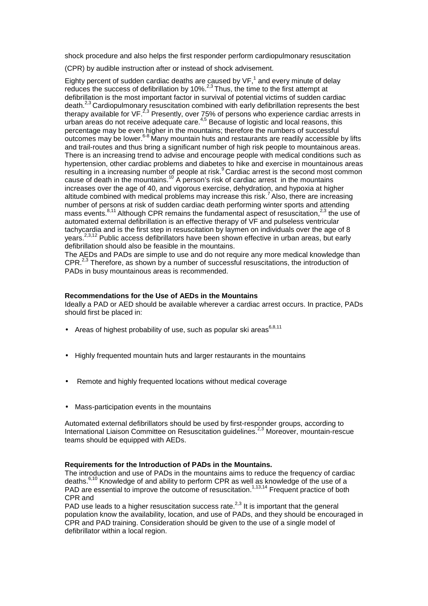shock procedure and also helps the first responder perform cardiopulmonary resuscitation

(CPR) by audible instruction after or instead of shock advisement.

Eighty percent of sudden cardiac deaths are caused by VF,<sup>1</sup> and every minute of delay Eighty persont of statement strategies are success of defibrillation by  $10\%$ .<sup>2,3</sup> Thus, the time to the first attempt at defibrillation is the most important factor in survival of potential victims of sudden cardiac death.<sup>2,3</sup> Cardiopulmonary resuscitation combined with early defibrillation represents the best therapy available for VF.<sup>2,3</sup> Presently, over 75% of persons who experience cardiac arrests in urban areas do not receive adequate care.<sup>4,5</sup> Because of logistic and local reasons, this percentage may be even higher in the mountains; therefore the numbers of successful outcomes may be lower.6-8 Many mountain huts and restaurants are readily accessible by lifts and trail-routes and thus bring a significant number of high risk people to mountainous areas. There is an increasing trend to advise and encourage people with medical conditions such as hypertension, other cardiac problems and diabetes to hike and exercise in mountainous areas resulting in a increasing number of people at risk.<sup>9</sup> Cardiac arrest is the second most common cause of death in the mountains.<sup>10</sup> A person's risk of cardiac arrest in the mountains increases over the age of 40, and vigorous exercise, dehydration, and hypoxia at higher altitude combined with medical problems may increase this risk.<sup>7</sup> Also, there are increasing number of persons at risk of sudden cardiac death performing winter sports and attending mass events.<sup>8,11</sup> Although CPR remains the fundamental aspect of resuscitation,<sup>2,3</sup> the use of automated external defibrillation is an effective therapy of VF and pulseless ventricular tachycardia and is the first step in resuscitation by laymen on individuals over the age of 8 years.<sup>2,3,12</sup> Public access defibrillators have been shown effective in urban areas, but early defibrillation should also be feasible in the mountains.

The AEDs and PADs are simple to use and do not require any more medical knowledge than CPR.<sup>2,3</sup> Therefore, as shown by a number of successful resuscitations, the introduction of PADs in busy mountainous areas is recommended.

### **Recommendations for the Use of AEDs in the Mountains**

Ideally a PAD or AED should be available wherever a cardiac arrest occurs. In practice, PADs should first be placed in:

- Areas of highest probability of use, such as popular ski areas $6,8,11$
- Highly frequented mountain huts and larger restaurants in the mountains
- Remote and highly frequented locations without medical coverage
- Mass-participation events in the mountains

Automated external defibrillators should be used by first-responder groups, according to International Liaison Committee on Resuscitation guidelines.<sup>2,3</sup> Moreover, mountain-rescue teams should be equipped with AEDs.

#### **Requirements for the Introduction of PADs in the Mountains.**

The introduction and use of PADs in the mountains aims to reduce the frequency of cardiac deaths.<sup>6,10</sup> Knowledge of and ability to perform CPR as well as knowledge of the use of a PAD are essential to improve the outcome of resuscitation.<sup>1,13,14</sup> Frequent practice of both CPR and

PAD use leads to a higher resuscitation success rate. $2,3$  It is important that the general population know the availability, location, and use of PADs, and they should be encouraged in CPR and PAD training. Consideration should be given to the use of a single model of defibrillator within a local region.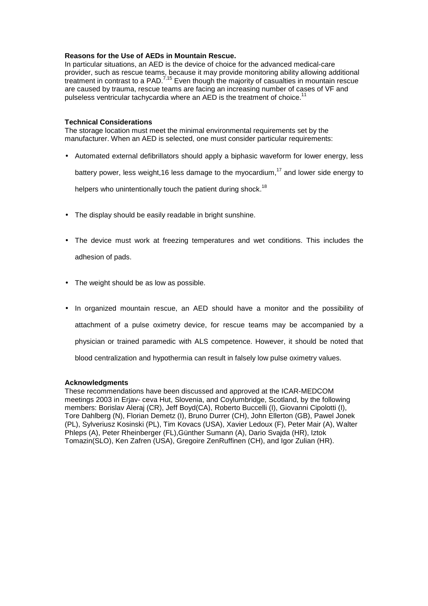### **Reasons for the Use of AEDs in Mountain Rescue.**

In particular situations, an AED is the device of choice for the advanced medical-care provider, such as rescue teams, because it may provide monitoring ability allowing additional treatment in contrast to a PAD.<sup>7,15</sup> Even though the majority of casualties in mountain rescue are caused by trauma, rescue teams are facing an increasing number of cases of VF and pulseless ventricular tachycardia where an AED is the treatment of choice.<sup>1</sup>

#### **Technical Considerations**

The storage location must meet the minimal environmental requirements set by the manufacturer. When an AED is selected, one must consider particular requirements:

• Automated external defibrillators should apply a biphasic waveform for lower energy, less

battery power, less weight, 16 less damage to the myocardium,  $17$  and lower side energy to

helpers who unintentionally touch the patient during shock.<sup>18</sup>

- The display should be easily readable in bright sunshine.
- The device must work at freezing temperatures and wet conditions. This includes the adhesion of pads.
- The weight should be as low as possible.
- In organized mountain rescue, an AED should have a monitor and the possibility of attachment of a pulse oximetry device, for rescue teams may be accompanied by a physician or trained paramedic with ALS competence. However, it should be noted that blood centralization and hypothermia can result in falsely low pulse oximetry values.

#### **Acknowledgments**

These recommendations have been discussed and approved at the ICAR-MEDCOM meetings 2003 in Erjav- ceva Hut, Slovenia, and Coylumbridge, Scotland, by the following members: Borislav Aleraj (CR), Jeff Boyd(CA), Roberto Buccelli (I), Giovanni Cipolotti (I), Tore Dahlberg (N), Florian Demetz (I), Bruno Durrer (CH), John Ellerton (GB), Pawel Jonek (PL), Sylveriusz Kosinski (PL), Tim Kovacs (USA), Xavier Ledoux (F), Peter Mair (A), Walter Phleps (A), Peter Rheinberger (FL),Günther Sumann (A), Dario Svajda (HR), Iztok Tomazin(SLO), Ken Zafren (USA), Gregoire ZenRuffinen (CH), and Igor Zulian (HR).